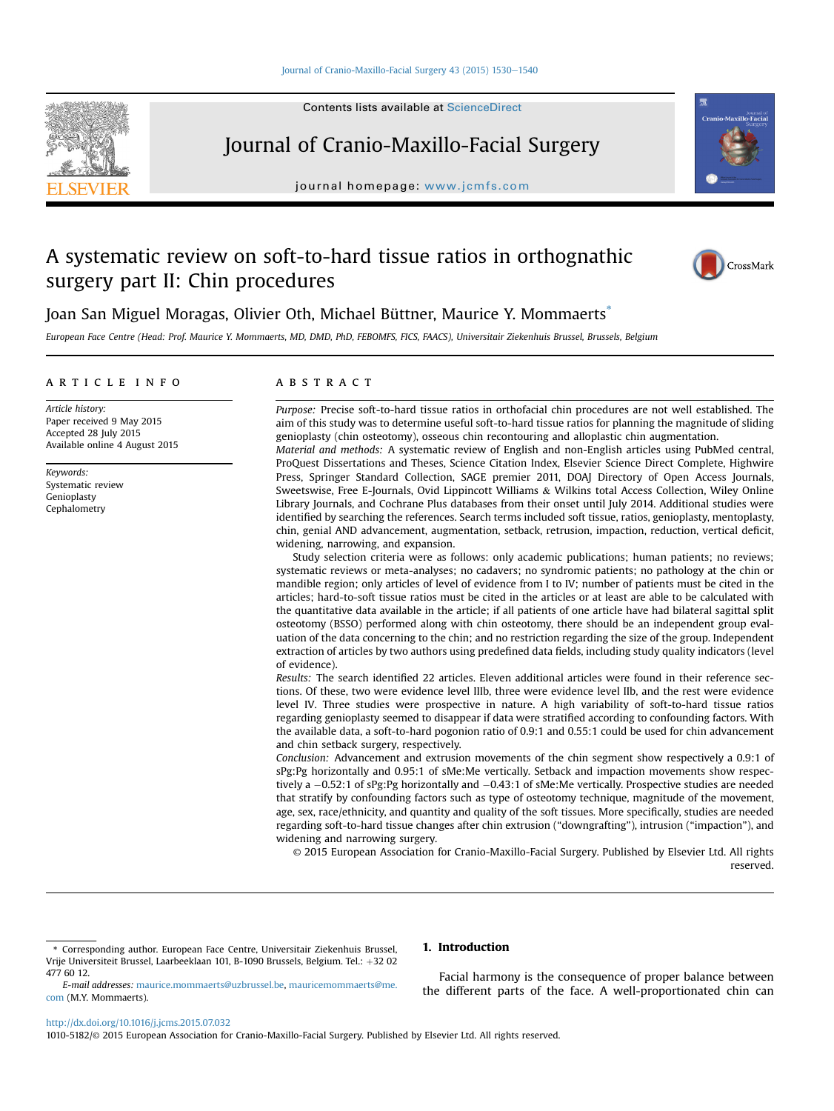#### [Journal of Cranio-Maxillo-Facial Surgery 43 \(2015\) 1530](http://dx.doi.org/10.1016/j.jcms.2015.07.032)-[1540](http://dx.doi.org/10.1016/j.jcms.2015.07.032)

Contents lists available at ScienceDirect

# Journal of Cranio-Maxillo-Facial Surgery

journal homepage: [www.jcmfs.com](http://www.jcmfs.com)

# A systematic review on soft-to-hard tissue ratios in orthognathic surgery part II: Chin procedures



Joan San Miguel Moragas, Olivier Oth, Michael Büttner, Maurice Y. Mommaerts<sup>\*</sup>

European Face Centre (Head: Prof. Maurice Y. Mommaerts, MD, DMD, PhD, FEBOMFS, FICS, FAACS), Universitair Ziekenhuis Brussel, Brussels, Belgium

### article info

Article history: Paper received 9 May 2015 Accepted 28 July 2015 Available online 4 August 2015

Keywords: Systematic review Genioplasty Cephalometry

# **ABSTRACT**

Purpose: Precise soft-to-hard tissue ratios in orthofacial chin procedures are not well established. The aim of this study was to determine useful soft-to-hard tissue ratios for planning the magnitude of sliding genioplasty (chin osteotomy), osseous chin recontouring and alloplastic chin augmentation. Material and methods: A systematic review of English and non-English articles using PubMed central,

ProQuest Dissertations and Theses, Science Citation Index, Elsevier Science Direct Complete, Highwire Press, Springer Standard Collection, SAGE premier 2011, DOAJ Directory of Open Access Journals, Sweetswise, Free E-Journals, Ovid Lippincott Williams & Wilkins total Access Collection, Wiley Online Library Journals, and Cochrane Plus databases from their onset until July 2014. Additional studies were identified by searching the references. Search terms included soft tissue, ratios, genioplasty, mentoplasty, chin, genial AND advancement, augmentation, setback, retrusion, impaction, reduction, vertical deficit, widening, narrowing, and expansion.

Study selection criteria were as follows: only academic publications; human patients; no reviews; systematic reviews or meta-analyses; no cadavers; no syndromic patients; no pathology at the chin or mandible region; only articles of level of evidence from I to IV; number of patients must be cited in the articles; hard-to-soft tissue ratios must be cited in the articles or at least are able to be calculated with the quantitative data available in the article; if all patients of one article have had bilateral sagittal split osteotomy (BSSO) performed along with chin osteotomy, there should be an independent group evaluation of the data concerning to the chin; and no restriction regarding the size of the group. Independent extraction of articles by two authors using predefined data fields, including study quality indicators (level of evidence).

Results: The search identified 22 articles. Eleven additional articles were found in their reference sections. Of these, two were evidence level IIIb, three were evidence level IIb, and the rest were evidence level IV. Three studies were prospective in nature. A high variability of soft-to-hard tissue ratios regarding genioplasty seemed to disappear if data were stratified according to confounding factors. With the available data, a soft-to-hard pogonion ratio of 0.9:1 and 0.55:1 could be used for chin advancement and chin setback surgery, respectively.

Conclusion: Advancement and extrusion movements of the chin segment show respectively a 0.9:1 of sPg:Pg horizontally and 0.95:1 of sMe:Me vertically. Setback and impaction movements show respectively a  $-0.52$ :1 of sPg:Pg horizontally and  $-0.43$ :1 of sMe:Me vertically. Prospective studies are needed that stratify by confounding factors such as type of osteotomy technique, magnitude of the movement, age, sex, race/ethnicity, and quantity and quality of the soft tissues. More specifically, studies are needed regarding soft-to-hard tissue changes after chin extrusion ("downgrafting"), intrusion ("impaction"), and widening and narrowing surgery.

© 2015 European Association for Cranio-Maxillo-Facial Surgery. Published by Elsevier Ltd. All rights reserved.

# 1. Introduction

E-mail addresses: [maurice.mommaerts@uzbrussel.be,](mailto:maurice.mommaerts@uzbrussel.be) [mauricemommaerts@me.](mailto:mauricemommaerts@me.com) [com](mailto:mauricemommaerts@me.com) (M.Y. Mommaerts).

Facial harmony is the consequence of proper balance between the different parts of the face. A well-proportionated chin can

<http://dx.doi.org/10.1016/j.jcms.2015.07.032>

1010-5182/© 2015 European Association for Cranio-Maxillo-Facial Surgery. Published by Elsevier Ltd. All rights reserved.

<sup>\*</sup> Corresponding author. European Face Centre, Universitair Ziekenhuis Brussel, Vrije Universiteit Brussel, Laarbeeklaan 101, B-1090 Brussels, Belgium. Tel.:  $+32$  02 477 60 12.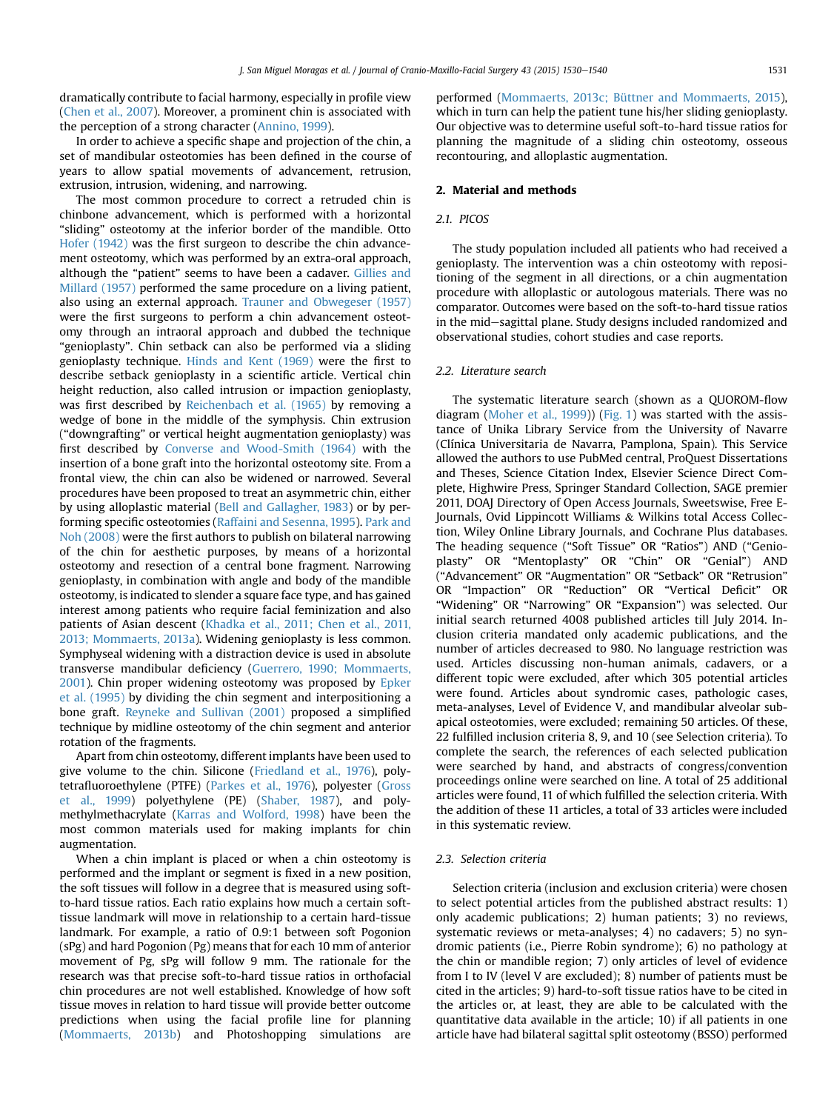dramatically contribute to facial harmony, especially in profile view ([Chen et al., 2007](#page-9-0)). Moreover, a prominent chin is associated with the perception of a strong character [\(Annino, 1999\)](#page-9-0).

In order to achieve a specific shape and projection of the chin, a set of mandibular osteotomies has been defined in the course of years to allow spatial movements of advancement, retrusion, extrusion, intrusion, widening, and narrowing.

The most common procedure to correct a retruded chin is chinbone advancement, which is performed with a horizontal "sliding" osteotomy at the inferior border of the mandible. Otto [Hofer \(1942\)](#page-10-0) was the first surgeon to describe the chin advancement osteotomy, which was performed by an extra-oral approach, although the "patient" seems to have been a cadaver. [Gillies and](#page-10-0) [Millard \(1957\)](#page-10-0) performed the same procedure on a living patient, also using an external approach. [Trauner and Obwegeser \(1957\)](#page-10-0) were the first surgeons to perform a chin advancement osteotomy through an intraoral approach and dubbed the technique "genioplasty". Chin setback can also be performed via a sliding genioplasty technique. [Hinds and Kent \(1969\)](#page-10-0) were the first to describe setback genioplasty in a scientific article. Vertical chin height reduction, also called intrusion or impaction genioplasty, was first described by [Reichenbach et al. \(1965\)](#page-10-0) by removing a wedge of bone in the middle of the symphysis. Chin extrusion ("downgrafting" or vertical height augmentation genioplasty) was first described by [Converse and Wood-Smith \(1964\)](#page-9-0) with the insertion of a bone graft into the horizontal osteotomy site. From a frontal view, the chin can also be widened or narrowed. Several procedures have been proposed to treat an asymmetric chin, either by using alloplastic material ([Bell and Gallagher, 1983](#page-9-0)) or by performing specific osteotomies [\(Raffaini and Sesenna, 1995](#page-10-0)). [Park and](#page-10-0) [Noh \(2008\)](#page-10-0) were the first authors to publish on bilateral narrowing of the chin for aesthetic purposes, by means of a horizontal osteotomy and resection of a central bone fragment. Narrowing genioplasty, in combination with angle and body of the mandible osteotomy, is indicated to slender a square face type, and has gained interest among patients who require facial feminization and also patients of Asian descent ([Khadka et al., 2011; Chen et al., 2011,](#page-10-0) [2013; Mommaerts, 2013a](#page-10-0)). Widening genioplasty is less common. Symphyseal widening with a distraction device is used in absolute transverse mandibular deficiency [\(Guerrero, 1990; Mommaerts,](#page-10-0) [2001\)](#page-10-0). Chin proper widening osteotomy was proposed by [Epker](#page-9-0) [et al. \(1995\)](#page-9-0) by dividing the chin segment and interpositioning a bone graft. [Reyneke and Sullivan \(2001\)](#page-10-0) proposed a simplified technique by midline osteotomy of the chin segment and anterior rotation of the fragments.

Apart from chin osteotomy, different implants have been used to give volume to the chin. Silicone ([Friedland et al., 1976\)](#page-10-0), polytetrafluoroethylene (PTFE) [\(Parkes et al., 1976](#page-10-0)), polyester ([Gross](#page-10-0) [et al., 1999](#page-10-0)) polyethylene (PE) ([Shaber, 1987\)](#page-10-0), and polymethylmethacrylate [\(Karras and Wolford, 1998\)](#page-10-0) have been the most common materials used for making implants for chin augmentation.

When a chin implant is placed or when a chin osteotomy is performed and the implant or segment is fixed in a new position, the soft tissues will follow in a degree that is measured using softto-hard tissue ratios. Each ratio explains how much a certain softtissue landmark will move in relationship to a certain hard-tissue landmark. For example, a ratio of 0.9:1 between soft Pogonion (sPg) and hard Pogonion (Pg) means that for each 10 mm of anterior movement of Pg, sPg will follow 9 mm. The rationale for the research was that precise soft-to-hard tissue ratios in orthofacial chin procedures are not well established. Knowledge of how soft tissue moves in relation to hard tissue will provide better outcome predictions when using the facial profile line for planning ([Mommaerts, 2013b\)](#page-10-0) and Photoshopping simulations are performed [\(Mommaerts, 2013c; Büttner and Mommaerts, 2015\)](#page-10-0), which in turn can help the patient tune his/her sliding genioplasty. Our objective was to determine useful soft-to-hard tissue ratios for planning the magnitude of a sliding chin osteotomy, osseous recontouring, and alloplastic augmentation.

### 2. Material and methods

# 2.1. PICOS

The study population included all patients who had received a genioplasty. The intervention was a chin osteotomy with repositioning of the segment in all directions, or a chin augmentation procedure with alloplastic or autologous materials. There was no comparator. Outcomes were based on the soft-to-hard tissue ratios in the mid-sagittal plane. Study designs included randomized and observational studies, cohort studies and case reports.

#### 2.2. Literature search

The systematic literature search (shown as a QUOROM-flow diagram ([Moher et al., 1999](#page-10-0))) [\(Fig. 1\)](#page-2-0) was started with the assistance of Unika Library Service from the University of Navarre (Clínica Universitaria de Navarra, Pamplona, Spain). This Service allowed the authors to use PubMed central, ProQuest Dissertations and Theses, Science Citation Index, Elsevier Science Direct Complete, Highwire Press, Springer Standard Collection, SAGE premier 2011, DOAJ Directory of Open Access Journals, Sweetswise, Free E-Journals, Ovid Lippincott Williams & Wilkins total Access Collection, Wiley Online Library Journals, and Cochrane Plus databases. The heading sequence ("Soft Tissue" OR "Ratios") AND ("Genioplasty" OR "Mentoplasty" OR "Chin" OR "Genial") AND ("Advancement" OR "Augmentation" OR "Setback" OR "Retrusion" OR "Impaction" OR "Reduction" OR "Vertical Deficit" OR "Widening" OR "Narrowing" OR "Expansion") was selected. Our initial search returned 4008 published articles till July 2014. Inclusion criteria mandated only academic publications, and the number of articles decreased to 980. No language restriction was used. Articles discussing non-human animals, cadavers, or a different topic were excluded, after which 305 potential articles were found. Articles about syndromic cases, pathologic cases, meta-analyses, Level of Evidence V, and mandibular alveolar subapical osteotomies, were excluded; remaining 50 articles. Of these, 22 fulfilled inclusion criteria 8, 9, and 10 (see Selection criteria). To complete the search, the references of each selected publication were searched by hand, and abstracts of congress/convention proceedings online were searched on line. A total of 25 additional articles were found, 11 of which fulfilled the selection criteria. With the addition of these 11 articles, a total of 33 articles were included in this systematic review.

#### 2.3. Selection criteria

Selection criteria (inclusion and exclusion criteria) were chosen to select potential articles from the published abstract results: 1) only academic publications; 2) human patients; 3) no reviews, systematic reviews or meta-analyses; 4) no cadavers; 5) no syndromic patients (i.e., Pierre Robin syndrome); 6) no pathology at the chin or mandible region; 7) only articles of level of evidence from I to IV (level V are excluded); 8) number of patients must be cited in the articles; 9) hard-to-soft tissue ratios have to be cited in the articles or, at least, they are able to be calculated with the quantitative data available in the article; 10) if all patients in one article have had bilateral sagittal split osteotomy (BSSO) performed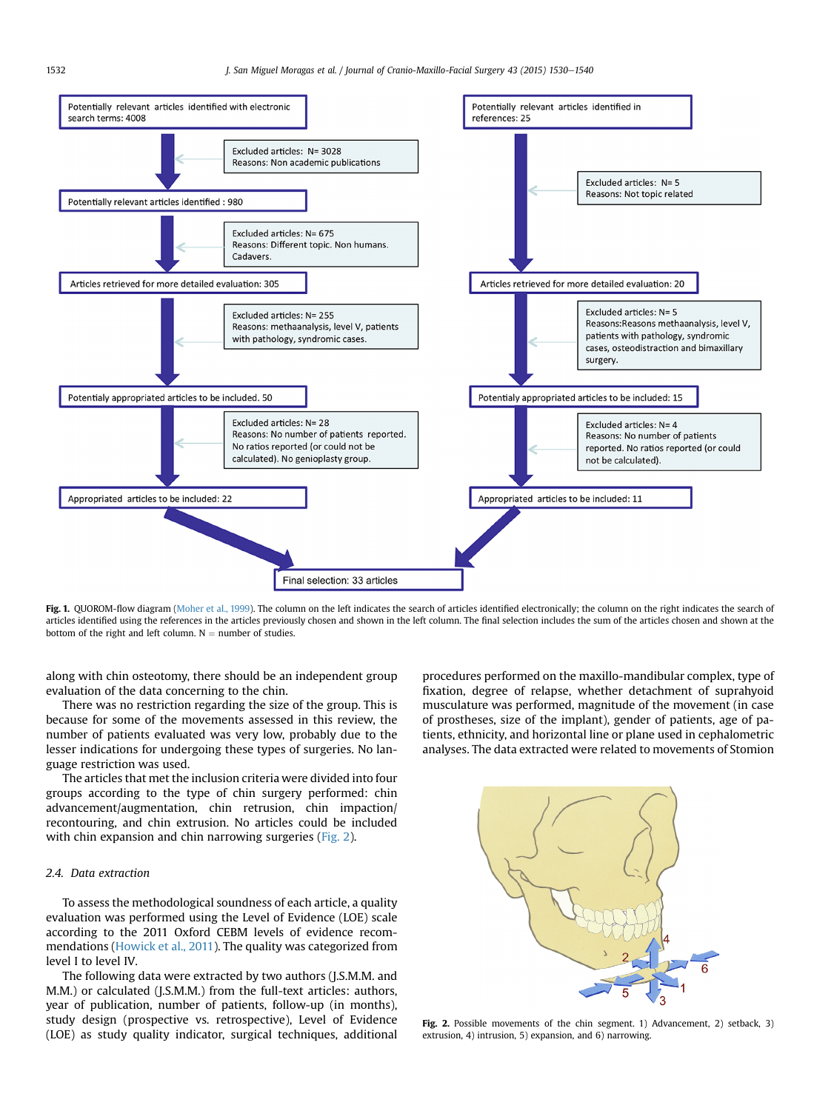<span id="page-2-0"></span>

Fig. 1. QUOROM-flow diagram [\(Moher et al., 1999\)](#page-10-0). The column on the left indicates the search of articles identified electronically; the column on the right indicates the search of articles identified using the references in the articles previously chosen and shown in the left column. The final selection includes the sum of the articles chosen and shown at the bottom of the right and left column.  $N =$  number of studies.

along with chin osteotomy, there should be an independent group evaluation of the data concerning to the chin.

There was no restriction regarding the size of the group. This is because for some of the movements assessed in this review, the number of patients evaluated was very low, probably due to the lesser indications for undergoing these types of surgeries. No language restriction was used.

The articles that met the inclusion criteria were divided into four groups according to the type of chin surgery performed: chin advancement/augmentation, chin retrusion, chin impaction/ recontouring, and chin extrusion. No articles could be included with chin expansion and chin narrowing surgeries (Fig. 2).

# 2.4. Data extraction

To assess the methodological soundness of each article, a quality evaluation was performed using the Level of Evidence (LOE) scale according to the 2011 Oxford CEBM levels of evidence recommendations ([Howick et al., 2011\)](#page-10-0). The quality was categorized from level I to level IV.

The following data were extracted by two authors (J.S.M.M. and M.M.) or calculated (J.S.M.M.) from the full-text articles: authors, year of publication, number of patients, follow-up (in months), study design (prospective vs. retrospective), Level of Evidence (LOE) as study quality indicator, surgical techniques, additional procedures performed on the maxillo-mandibular complex, type of fixation, degree of relapse, whether detachment of suprahyoid musculature was performed, magnitude of the movement (in case of prostheses, size of the implant), gender of patients, age of patients, ethnicity, and horizontal line or plane used in cephalometric analyses. The data extracted were related to movements of Stomion



Fig. 2. Possible movements of the chin segment. 1) Advancement, 2) setback, 3) extrusion, 4) intrusion, 5) expansion, and 6) narrowing.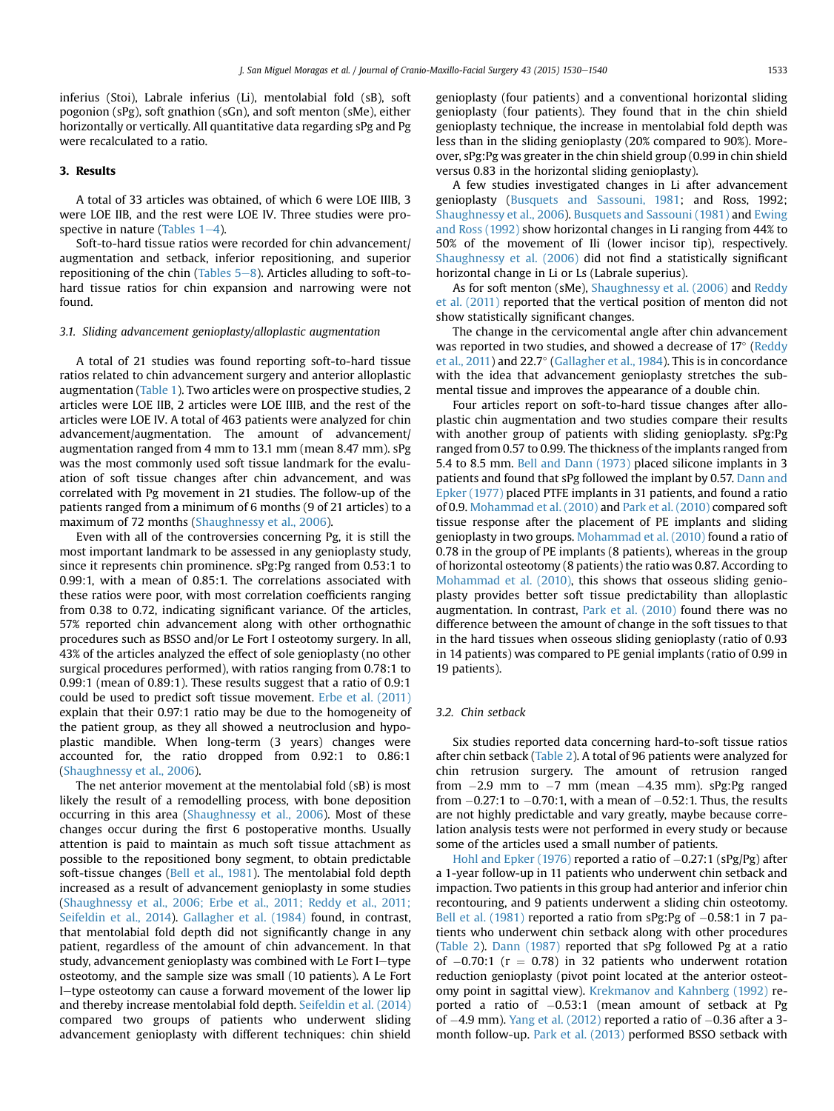inferius (Stoi), Labrale inferius (Li), mentolabial fold (sB), soft pogonion (sPg), soft gnathion (sGn), and soft menton (sMe), either horizontally or vertically. All quantitative data regarding sPg and Pg were recalculated to a ratio.

# 3. Results

A total of 33 articles was obtained, of which 6 were LOE IIIB, 3 were LOE IIB, and the rest were LOE IV. Three studies were prospective in nature (Tables  $1-4$  $1-4$ ).

Soft-to-hard tissue ratios were recorded for chin advancement/ augmentation and setback, inferior repositioning, and superior repositioning of the chin (Tables  $5-8$  $5-8$ ). Articles alluding to soft-tohard tissue ratios for chin expansion and narrowing were not found.

#### 3.1. Sliding advancement genioplasty/alloplastic augmentation

A total of 21 studies was found reporting soft-to-hard tissue ratios related to chin advancement surgery and anterior alloplastic augmentation [\(Table 1\)](#page-4-0). Two articles were on prospective studies, 2 articles were LOE IIB, 2 articles were LOE IIIB, and the rest of the articles were LOE IV. A total of 463 patients were analyzed for chin advancement/augmentation. The amount of advancement/ augmentation ranged from 4 mm to 13.1 mm (mean 8.47 mm). sPg was the most commonly used soft tissue landmark for the evaluation of soft tissue changes after chin advancement, and was correlated with Pg movement in 21 studies. The follow-up of the patients ranged from a minimum of 6 months (9 of 21 articles) to a maximum of 72 months ([Shaughnessy et al., 2006](#page-10-0)).

Even with all of the controversies concerning Pg, it is still the most important landmark to be assessed in any genioplasty study, since it represents chin prominence. sPg:Pg ranged from 0.53:1 to 0.99:1, with a mean of 0.85:1. The correlations associated with these ratios were poor, with most correlation coefficients ranging from 0.38 to 0.72, indicating significant variance. Of the articles, 57% reported chin advancement along with other orthognathic procedures such as BSSO and/or Le Fort I osteotomy surgery. In all, 43% of the articles analyzed the effect of sole genioplasty (no other surgical procedures performed), with ratios ranging from 0.78:1 to 0.99:1 (mean of 0.89:1). These results suggest that a ratio of 0.9:1 could be used to predict soft tissue movement. [Erbe et al. \(2011\)](#page-10-0) explain that their 0.97:1 ratio may be due to the homogeneity of the patient group, as they all showed a neutroclusion and hypoplastic mandible. When long-term (3 years) changes were accounted for, the ratio dropped from 0.92:1 to 0.86:1 ([Shaughnessy et al., 2006\)](#page-10-0).

The net anterior movement at the mentolabial fold (sB) is most likely the result of a remodelling process, with bone deposition occurring in this area ([Shaughnessy et al., 2006\)](#page-10-0). Most of these changes occur during the first 6 postoperative months. Usually attention is paid to maintain as much soft tissue attachment as possible to the repositioned bony segment, to obtain predictable soft-tissue changes ([Bell et al., 1981\)](#page-9-0). The mentolabial fold depth increased as a result of advancement genioplasty in some studies ([Shaughnessy et al., 2006; Erbe et al., 2011; Reddy et al., 2011;](#page-10-0) [Seifeldin et al., 2014](#page-10-0)). [Gallagher et al. \(1984\)](#page-10-0) found, in contrast, that mentolabial fold depth did not significantly change in any patient, regardless of the amount of chin advancement. In that study, advancement genioplasty was combined with Le Fort I-type osteotomy, and the sample size was small (10 patients). A Le Fort I-type osteotomy can cause a forward movement of the lower lip and thereby increase mentolabial fold depth. [Seifeldin et al. \(2014\)](#page-10-0) compared two groups of patients who underwent sliding advancement genioplasty with different techniques: chin shield genioplasty (four patients) and a conventional horizontal sliding genioplasty (four patients). They found that in the chin shield genioplasty technique, the increase in mentolabial fold depth was less than in the sliding genioplasty (20% compared to 90%). Moreover, sPg:Pg was greater in the chin shield group (0.99 in chin shield versus 0.83 in the horizontal sliding genioplasty).

A few studies investigated changes in Li after advancement genioplasty ([Busquets and Sassouni, 1981;](#page-9-0) and Ross, 1992; [Shaughnessy et al., 2006](#page-10-0)). [Busquets and Sassouni \(1981\)](#page-9-0) and [Ewing](#page-10-0) [and Ross \(1992\)](#page-10-0) show horizontal changes in Li ranging from 44% to 50% of the movement of Ili (lower incisor tip), respectively. [Shaughnessy et al. \(2006\)](#page-10-0) did not find a statistically significant horizontal change in Li or Ls (Labrale superius).

As for soft menton (sMe), [Shaughnessy et al. \(2006\)](#page-10-0) and [Reddy](#page-10-0) [et al. \(2011\)](#page-10-0) reported that the vertical position of menton did not show statistically significant changes.

The change in the cervicomental angle after chin advancement was reported in two studies, and showed a decrease of  $17^{\circ}$  [\(Reddy](#page-10-0) [et al., 2011\)](#page-10-0) and 22.7° [\(Gallagher et al., 1984\)](#page-10-0). This is in concordance with the idea that advancement genioplasty stretches the submental tissue and improves the appearance of a double chin.

Four articles report on soft-to-hard tissue changes after alloplastic chin augmentation and two studies compare their results with another group of patients with sliding genioplasty. sPg:Pg ranged from 0.57 to 0.99. The thickness of the implants ranged from 5.4 to 8.5 mm. [Bell and Dann \(1973\)](#page-9-0) placed silicone implants in 3 patients and found that sPg followed the implant by 0.57. [Dann and](#page-9-0) [Epker \(1977\)](#page-9-0) placed PTFE implants in 31 patients, and found a ratio of 0.9. [Mohammad et al. \(2010\)](#page-10-0) and [Park et al. \(2010\)](#page-10-0) compared soft tissue response after the placement of PE implants and sliding genioplasty in two groups. [Mohammad et al. \(2010\)](#page-10-0) found a ratio of 0.78 in the group of PE implants (8 patients), whereas in the group of horizontal osteotomy (8 patients) the ratio was 0.87. According to [Mohammad et al. \(2010\),](#page-10-0) this shows that osseous sliding genioplasty provides better soft tissue predictability than alloplastic augmentation. In contrast, [Park et al. \(2010\)](#page-10-0) found there was no difference between the amount of change in the soft tissues to that in the hard tissues when osseous sliding genioplasty (ratio of 0.93 in 14 patients) was compared to PE genial implants (ratio of 0.99 in 19 patients).

#### 3.2. Chin setback

Six studies reported data concerning hard-to-soft tissue ratios after chin setback ([Table 2](#page-5-0)). A total of 96 patients were analyzed for chin retrusion surgery. The amount of retrusion ranged from  $-2.9$  mm to  $-7$  mm (mean  $-4.35$  mm). sPg:Pg ranged from  $-0.27$ :1 to  $-0.70$ :1, with a mean of  $-0.52$ :1. Thus, the results are not highly predictable and vary greatly, maybe because correlation analysis tests were not performed in every study or because some of the articles used a small number of patients.

[Hohl and Epker \(1976\)](#page-10-0) reported a ratio of  $-0.27$ :1 (sPg/Pg) after a 1-year follow-up in 11 patients who underwent chin setback and impaction. Two patients in this group had anterior and inferior chin recontouring, and 9 patients underwent a sliding chin osteotomy. [Bell et al. \(1981\)](#page-9-0) reported a ratio from  $sPg:Pg$  of  $-0.58:1$  in 7 patients who underwent chin setback along with other procedures ([Table 2\)](#page-5-0). [Dann \(1987\)](#page-9-0) reported that sPg followed Pg at a ratio of  $-0.70$ :1 (r = 0.78) in 32 patients who underwent rotation reduction genioplasty (pivot point located at the anterior osteotomy point in sagittal view). [Krekmanov and Kahnberg \(1992\)](#page-10-0) reported a ratio of  $-0.53$ :1 (mean amount of setback at Pg of  $-4.9$  mm). [Yang et al. \(2012\)](#page-10-0) reported a ratio of  $-0.36$  after a 3month follow-up. [Park et al. \(2013\)](#page-10-0) performed BSSO setback with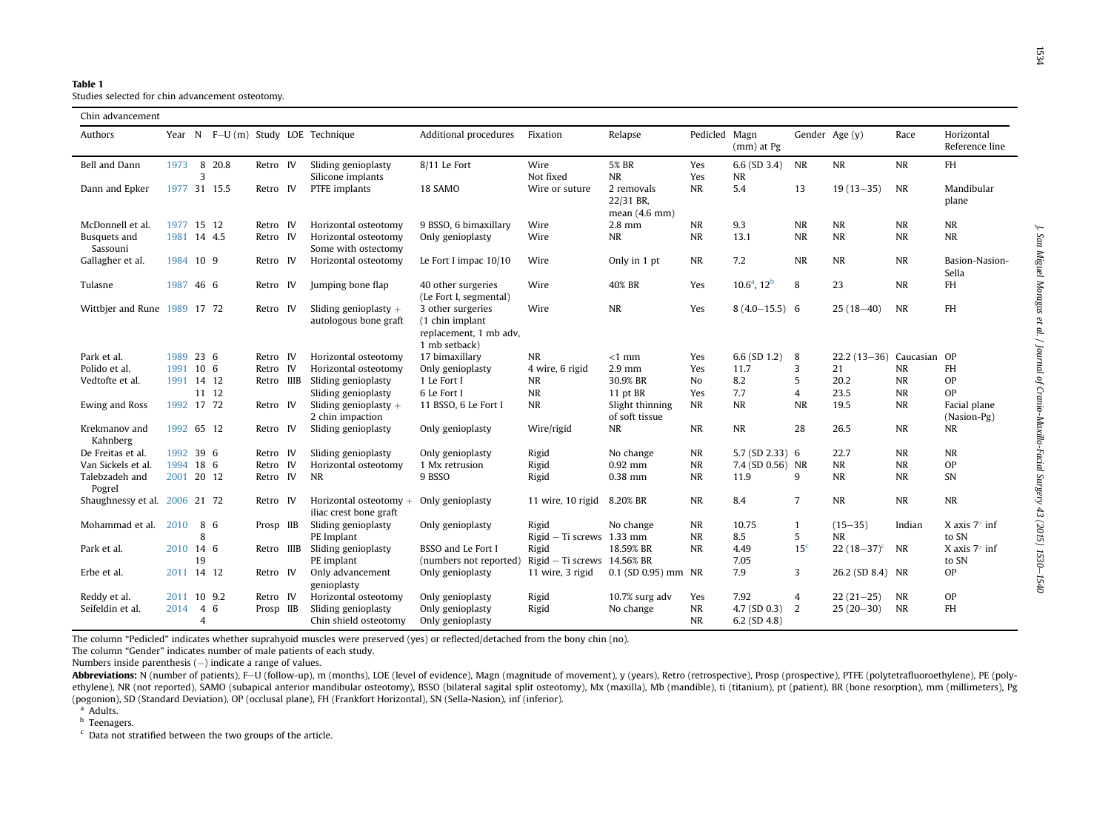<span id="page-4-0"></span>Table 1

Studies selected for chin advancement osteotomy.

| Chin advancement              |             |                |              |            |    |                                                  |                                                                                 |                                        |                                               |                        |                             |                   |                          |              |                               |
|-------------------------------|-------------|----------------|--------------|------------|----|--------------------------------------------------|---------------------------------------------------------------------------------|----------------------------------------|-----------------------------------------------|------------------------|-----------------------------|-------------------|--------------------------|--------------|-------------------------------|
| Authors                       |             |                |              |            |    | Year N F-U (m) Study LOE Technique               | Additional procedures                                                           | Fixation                               | Relapse                                       | Pedicled Magn          | (mm) at Pg                  |                   | Gender Age (y)           | Race         | Horizontal<br>Reference line  |
| Bell and Dann                 | 1973        | 3              | 8 20.8       | Retro IV   |    | Sliding genioplasty<br>Silicone implants         | 8/11 Le Fort                                                                    | Wire<br>Not fixed                      | <b>5% BR</b><br><b>NR</b>                     | Yes<br>Yes             | $6.6$ (SD 3.4)<br><b>NR</b> | <b>NR</b>         | NR                       | <b>NR</b>    | FH                            |
| Dann and Epker                |             |                | 1977 31 15.5 | Retro IV   |    | PTFE implants                                    | 18 SAMO                                                                         | Wire or suture                         | 2 removals<br>22/31 BR,<br>mean $(4.6$ mm $)$ | <b>NR</b>              | 5.4                         | 13                | $19(13 - 35)$            | <b>NR</b>    | Mandibular<br>plane           |
| McDonnell et al.              | 1977 15 12  |                |              | Retro IV   |    | Horizontal osteotomy                             | 9 BSSO, 6 bimaxillary                                                           | Wire                                   | 2.8 mm                                        | $\sf NR$               | 9.3                         | <b>NR</b>         | NR                       | <b>NR</b>    | <b>NR</b>                     |
| Busquets and<br>Sassouni      | 1981 14 4.5 |                |              | Retro IV   |    | Horizontal osteotomy<br>Some with ostectomy      | Only genioplasty                                                                | Wire                                   | <b>NR</b>                                     | $\sf NR$               | 13.1                        | <b>NR</b>         | NR                       | <b>NR</b>    | <b>NR</b>                     |
| Gallagher et al.              | 1984 10 9   |                |              | Retro IV   |    | Horizontal osteotomy                             | Le Fort I impac 10/10                                                           | Wire                                   | Only in 1 pt                                  | <b>NR</b>              | 7.2                         | <b>NR</b>         | NR                       | <b>NR</b>    | Basion-Nasion-<br>Sella       |
| Tulasne                       | 1987 46 6   |                |              | Retro IV   |    | Jumping bone flap                                | 40 other surgeries<br>(Le Fort I, segmental)                                    | Wire                                   | 40% BR                                        | Yes                    | $10.6^a$ , $12^b$           | 8                 | 23                       | <b>NR</b>    | FH                            |
| Wittbier and Rune 1989 17 72  |             |                |              | Retro IV   |    | Sliding genioplasty $+$<br>autologous bone graft | 3 other surgeries<br>(1 chin implant<br>replacement, 1 mb adv,<br>1 mb setback) | Wire                                   | <b>NR</b>                                     | Yes                    | $8(4.0-15.5)$ 6             |                   | $25(18-40)$              | <b>NR</b>    | <b>FH</b>                     |
| Park et al.                   | 1989 23 6   |                |              | Retro IV   |    | Horizontal osteotomy                             | 17 bimaxillary                                                                  | NR                                     | $<1$ mm                                       | Yes                    | $6.6$ (SD 1.2)              | 8                 | $22.2(13-36)$            | Caucasian OP |                               |
| Polido et al.                 | 1991 10 6   |                |              | Retro      | IV | Horizontal osteotomy                             | Only genioplasty                                                                | 4 wire, 6 rigid                        | $2.9$ mm                                      | Yes                    | 11.7                        | 3                 | 21                       | <b>NR</b>    | <b>FH</b>                     |
| Vedtofte et al.               | 1991 14 12  |                |              | Retro IIIB |    | Sliding genioplasty                              | 1 Le Fort I                                                                     | NR                                     | 30.9% BR                                      | No                     | 8.2                         | 5                 | 20.2                     | <b>NR</b>    | OP                            |
|                               |             |                | 11 12        |            |    | Sliding genioplasty                              | 6 Le Fort I                                                                     | <b>NR</b>                              | 11 pt BR                                      | Yes                    | 7.7                         | 4                 | 23.5                     | <b>NR</b>    | OP                            |
| <b>Ewing and Ross</b>         | 1992 17 72  |                |              | Retro IV   |    | Sliding genioplasty $+$<br>2 chin impaction      | 11 BSSO, 6 Le Fort I                                                            | <b>NR</b>                              | Slight thinning<br>of soft tissue             | <b>NR</b>              | <b>NR</b>                   | <b>NR</b>         | 19.5                     | <b>NR</b>    | Facial plane<br>(Nasion-Pg)   |
| Krekmanov and<br>Kahnberg     | 1992 65 12  |                |              | Retro IV   |    | Sliding genioplasty                              | Only genioplasty                                                                | Wire/rigid                             | <b>NR</b>                                     | <b>NR</b>              | NR                          | 28                | 26.5                     | <b>NR</b>    | NR                            |
| De Freitas et al.             | 1992 39 6   |                |              | Retro IV   |    | Sliding genioplasty                              | Only genioplasty                                                                | Rigid                                  | No change                                     | <b>NR</b>              | 5.7 (SD 2.33) 6             |                   | 22.7                     | <b>NR</b>    | <b>NR</b>                     |
| Van Sickels et al.            | 1994 18 6   |                |              | Retro IV   |    | Horizontal osteotomy                             | 1 Mx retrusion                                                                  | Rigid                                  | $0.92$ mm                                     | <b>NR</b>              | 7.4 (SD 0.56) NR            |                   | <b>NR</b>                | <b>NR</b>    | OP                            |
| Talebzadeh and<br>Pogrel      | 2001 20 12  |                |              | Retro IV   |    | <b>NR</b>                                        | 9 BSSO                                                                          | Rigid                                  | $0.38$ mm                                     | <b>NR</b>              | 11.9                        | 9                 | <b>NR</b>                | <b>NR</b>    | SN                            |
| Shaughnessy et al. 2006 21 72 |             |                |              | Retro IV   |    | Horizontal osteotomy<br>iliac crest bone graft   | Only genioplasty                                                                | 11 wire, 10 rigid                      | 8.20% BR                                      | $\sf NR$               | 8.4                         | $\overline{7}$    | <b>NR</b>                | <b>NR</b>    | <b>NR</b>                     |
| Mohammad et al.               | 2010        | 8              | 8 6          | Prosp IIB  |    | Sliding genioplasty<br>PE Implant                | Only genioplasty                                                                | Rigid<br>$Right$ – Ti screws 1.33 mm   | No change                                     | <b>NR</b><br><b>NR</b> | 10.75<br>8.5                | $\mathbf{1}$<br>5 | $(15 - 35)$<br><b>NR</b> | Indian       | X axis $7^\circ$ inf<br>to SN |
| Park et al.                   | 2010 14 6   | 19             |              | Retro IIIB |    | Sliding genioplasty<br>PE implant                | BSSO and Le Fort I<br>(numbers not reported)                                    | Rigid<br>Rigid $-$ Ti screws 14.56% BR | 18.59% BR                                     | <b>NR</b>              | 4.49<br>7.05                | 15 <sup>c</sup>   | 22 $(18-37)^c$           | NR           | X axis $7^\circ$ inf<br>to SN |
| Erbe et al.                   | 2011 14 12  |                |              | Retro IV   |    | Only advancement<br>genioplasty                  | Only genioplasty                                                                | 11 wire, 3 rigid                       | $0.1$ (SD $0.95$ ) mm NR                      |                        | 7.9                         | 3                 | 26.2 (SD 8.4) NR         |              | OP                            |
| Reddy et al.                  | 2011 10 9.2 |                |              | Retro IV   |    | Horizontal osteotomy                             | Only genioplasty                                                                | Rigid                                  | 10.7% surg adv                                | Yes                    | 7.92                        | 4                 | $22(21-25)$              | NR           | OP                            |
| Seifeldin et al.              | 2014        | $\overline{4}$ | 6            | Prosp IIB  |    | Sliding genioplasty                              | Only genioplasty                                                                | Rigid                                  | No change                                     | <b>NR</b>              | $4.7$ (SD 0.3)              | 2                 | $25(20-30)$              | <b>NR</b>    | <b>FH</b>                     |
|                               |             | $\overline{4}$ |              |            |    | Chin shield osteotomy                            | Only genioplasty                                                                |                                        |                                               | <b>NR</b>              | 6.2 $(SD 4.8)$              |                   |                          |              |                               |

The column "Pedicled" indicates whether suprahyoid muscles were preserved (yes) or reflected/detached from the bony chin (no).

The column "Gender" indicates number of male patients of each study.

Numbers inside parenthesis  $(-)$  indicate a range of values.

Abbreviations: N (number of patients), F-U (follow-up), m (months), LOE (level of evidence), Magn (magnitude of movement), y (years), Retro (retrospective), Prosp (prospective), PTFE (polytetrafluoroethylene), PE (polyethylene), NR (not reported), SAMO (subapical anterior mandibular osteotomy), BSSO (bilateral sagital split osteotomy), Mx (maxilla), Mb (mandible), ti (titanium), pt (patient), BR (bone resorption), mm (millimeters), Pg (pogonion), SD (Standard Deviation), OP (occlusal plane), FH (Frankfort Horizontal), SN (Sella-Nasion), inf (inferior).

<sup>a</sup> Adults.

<sup>b</sup> Teenagers.

 $c$  Data not stratified between the two groups of the article.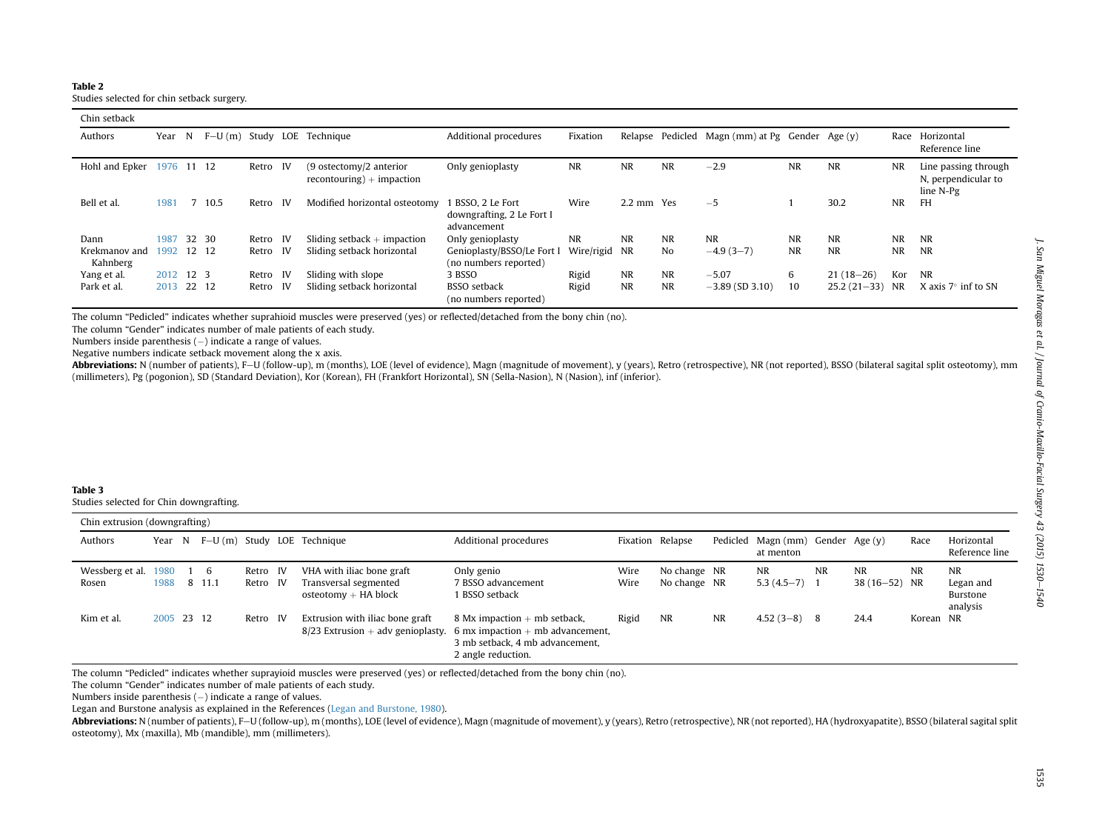#### <span id="page-5-0"></span>Table 2

Studies selected for chin setback surgery.

| Chin setback              |            |       |      |       |      |                                                           |                                                               |               |            |                  |                                |           |                  |           |                                                          |
|---------------------------|------------|-------|------|-------|------|-----------------------------------------------------------|---------------------------------------------------------------|---------------|------------|------------------|--------------------------------|-----------|------------------|-----------|----------------------------------------------------------|
| Authors                   | Year       | N     |      |       |      | F-U(m) Study LOE Technique                                | Additional procedures                                         | Fixation      |            | Relapse Pedicled | Magn (mm) at Pg Gender Age (y) |           |                  | Race      | Horizontal<br>Reference line                             |
| Hohl and Epker            | 1976 11 12 |       |      | Retro | - IV | $(9$ ostectomy/2 anterior<br>$recontouring$ ) + impaction | Only genioplasty                                              | <b>NR</b>     | <b>NR</b>  | <b>NR</b>        | $-2.9$                         | <b>NR</b> | <b>NR</b>        | <b>NR</b> | Line passing through<br>N, perpendicular to<br>line N-Pg |
| Bell et al.               | 1981       |       | 10.5 | Retro | - IV | Modified horizontal osteotomy                             | 1 BSSO, 2 Le Fort<br>downgrafting, 2 Le Fort I<br>advancement | Wire          | 2.2 mm Yes |                  | $-5$                           |           | 30.2             | <b>NR</b> | <b>FH</b>                                                |
| Dann                      | 1987       | 32 30 |      | Retro | - IV | Sliding setback $+$ impaction                             | Only genioplasty                                              | <b>NR</b>     | <b>NR</b>  | <b>NR</b>        | <b>NR</b>                      | <b>NR</b> | <b>NR</b>        | <b>NR</b> | <b>NR</b>                                                |
| Krekmanov and<br>Kahnberg | 1992 12 12 |       |      | Retro | - IV | Sliding setback horizontal                                | Genioplasty/BSSO/Le Fort I<br>(no numbers reported)           | Wire/rigid NR |            | No               | $-4.9(3-7)$                    | <b>NR</b> | <b>NR</b>        | <b>NR</b> | <b>NR</b>                                                |
| Yang et al.               | 2012 12 3  |       |      | Retro | - IV | Sliding with slope                                        | 3 BSSO                                                        | Rigid         | <b>NR</b>  | <b>NR</b>        | $-5.07$                        | 6         | $21(18-26)$      | Kor       | NR                                                       |
| Park et al.               | 2013 22 12 |       |      | Retro | - IV | Sliding setback horizontal                                | <b>BSSO</b> setback<br>(no numbers reported)                  | Rigid         | <b>NR</b>  | <b>NR</b>        | $-3.89$ (SD 3.10)              | 10        | $25.2(21-33)$ NR |           | X axis $7^\circ$ inf to SN                               |

The column "Pedicled" indicates whether suprahioid muscles were preserved (yes) or reflected/detached from the bony chin (no).

The column "Gender" indicates number of male patients of each study.

Numbers inside parenthesis  $(-)$  indicate a range of values.

Negative numbers indicate setback movement along the <sup>x</sup> axis.

Abbreviations: N (number of patients), F–U (follow-up), m (months), LOE (level of evidence), Magn (magnitude of movement), y (years), Retro (retrospective), NR (not reported), BSSO (bilateral sagital split osteotomy), mm (millimeters), Pg (pogonion), SD (Standard Deviation), Kor (Korean), FH (Frankfort Horizontal), SN (Sella-Nasion), N (Nasion), inf (inferior).

#### Table 3

Studies selected for Chin downgrafting.

| Chin extrusion (downgrafting) |            |               |                      |                                                                              |                                                                                                                               |              |                              |    |                                                |           |                            |           |                                                |
|-------------------------------|------------|---------------|----------------------|------------------------------------------------------------------------------|-------------------------------------------------------------------------------------------------------------------------------|--------------|------------------------------|----|------------------------------------------------|-----------|----------------------------|-----------|------------------------------------------------|
| Authors                       |            |               |                      | Year $N$ F-U $(m)$ Study LOE Technique                                       | Additional procedures                                                                                                         |              | Fixation Relapse             |    | Pedicled Magn (mm) Gender Age (y)<br>at menton |           |                            | Race      | Horizontal<br>Reference line                   |
| Wessberg et al. 1980<br>Rosen | 1988       | 1 6<br>8 11.1 | Retro IV<br>Retro IV | VHA with iliac bone graft<br>Transversal segmented<br>$osteotomy + HA block$ | Only genio<br>7 BSSO advancement<br>BSSO setback                                                                              | Wire<br>Wire | No change NR<br>No change NR |    | NR<br>$5.3(4.5-7)$ 1                           | <b>NR</b> | <b>NR</b><br>38 (16-52) NR | NR        | <b>NR</b><br>Legan and<br>Burstone<br>analysis |
| Kim et al.                    | 2005 23 12 |               | Retro IV             | Extrusion with iliac bone graft<br>$8/23$ Extrusion + adv genioplasty.       | 8 Mx impaction $+$ mb setback,<br>6 mx impaction $+$ mb advancement,<br>3 mb setback, 4 mb advancement.<br>2 angle reduction. | Rigid        | <b>NR</b>                    | NR | $4.52(3-8)$                                    | - 8       | 24.4                       | Korean NR |                                                |

The column "Pedicled" indicates whether suprayioid muscles were preserved (yes) or reflected/detached from the bony chin (no).

The column "Gender" indicates number of male patients of each study.

Numbers inside parenthesis  $(-)$  indicate a range of values.

Legan and Burstone analysis as explained in the References (Legan and [Burstone,](#page-10-0) 1980).

Abbreviations: N (number of patients), F-U (follow-up), m (months), LOE (level of evidence), Magn (magnitude of movement), y (years), Retro (retrospective), NR (not reported), HA (hydroxyapatite), BSSO (bilateral sagital s osteotomy), Mx (maxilla), Mb (mandible), mm (millimeters).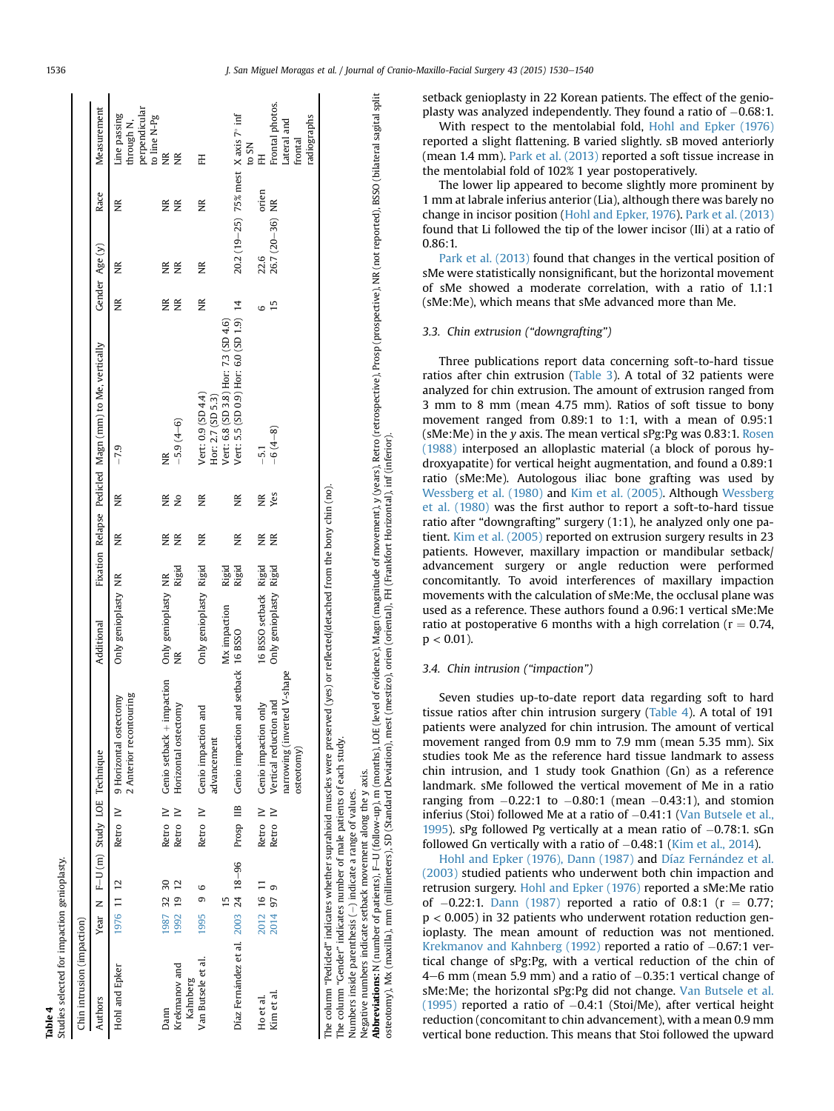|   | ċ |
|---|---|
|   |   |
|   | č |
| 4 |   |
|   |   |

r impaction genioplasty. Studies selected for impaction genioplasty.

| Chin intrusion (impaction)                                           |         |            |                 |                                                                                                                                |                        |                |    |               |                                                       |    |                  |       |                                                                    |
|----------------------------------------------------------------------|---------|------------|-----------------|--------------------------------------------------------------------------------------------------------------------------------|------------------------|----------------|----|---------------|-------------------------------------------------------|----|------------------|-------|--------------------------------------------------------------------|
| Authors                                                              |         |            |                 | Year N F-U (m) Study LOE Technique                                                                                             | Additional             |                |    |               | Fixation Relapse Pedicled Magn (mm) to Me, vertically |    | Gender Age (y)   | Race  | Measurement                                                        |
| Hohl and Epker                                                       |         | 1976 11 12 |                 | 2 Anterior recontouring<br>Retro IV 9 Horizontal ostectomy                                                                     | Only genioplasty NR    |                | Ĕ  | ž             | $-7.9$                                                | ž  | Ĕ                | ž     | perpendicular<br>Line passing<br>to line N-Pg<br>through N,        |
| Dann                                                                 |         | 1987 32 30 | Retro IV        | Genio setback + impaction                                                                                                      | Only genioplasty NR    |                | E  | χŘ            | ž                                                     | ΧŘ | ξ                | ΧK    | $\widetilde{\Xi}$                                                  |
| Krekmanov and<br>Kahnberg                                            |         | 1992 19 12 | Retro IV        | Horizontal ostectomy                                                                                                           | Ĕ                      | Rigid          | ΒŘ | $\frac{1}{2}$ | $-5.9(4-6)$                                           | Ĕ  | <b>NR</b>        | Ř     | Ř                                                                  |
| Van Butsele et al.                                                   | 1995    | 6<br>G)    | Retro IV        | Genio impaction and<br>advancement                                                                                             | Only genioplasty Rigid |                | ž  | ž             | Vert: 0.9 (SD 4.4)<br>Hor: 2.7 (SD 5.3)               | ž  | Ĕ                | ž     | H                                                                  |
|                                                                      |         |            |                 |                                                                                                                                | Mx impaction           |                |    |               | Vert: 6.8 (SD 3.8) Hor: 7.3 (SD 4.6)                  |    |                  |       |                                                                    |
| Díaz Fernández et al. 2003 24 18-96                                  |         |            |                 | Prosp IIB Genio impaction and setback 16 BSSO                                                                                  |                        | Rigid<br>Rigid | χŘ | ž             | Vert: 5.5 (SD 0.9) Hor: 6.0 (SD 1.9) 14               |    |                  |       | 20.2 (19-25) 75% mest $X$ axis $7^{\circ}$ inf<br>$\mathsf{TS}$ ot |
| Ho et al.                                                            |         | 2012 16 11 | Retro IV        | Genio impaction only                                                                                                           | 16 BSSO setback Rigid  |                | ΣŘ | ΒŘ            | $-5.1$                                                | 6  | 22.6             | orien | H                                                                  |
| Kim et al                                                            | 2014 97 |            | $\geq$<br>Retro | Vertical reduction and                                                                                                         | Only genioplasty       | Rigid          | χŘ | Yes           | $-6(4-8)$                                             | 15 | $26.7(20-36)$ NR |       | Frontal photos.                                                    |
|                                                                      |         |            |                 | narrowing (inverted V-shape<br>osteotomy)                                                                                      |                        |                |    |               |                                                       |    |                  |       | radiographs<br>Lateral and<br>frontal                              |
| The column "Gender" indicates number of male patients of each study. |         |            |                 | The column "Pedicled" indicates whether suprahioid muscles were preserved (yes) or reflected/detached from the bony chin (no). |                        |                |    |               |                                                       |    |                  |       |                                                                    |

Numbers inside parenthesis  $(-)$  indicate a range of values. Negative numbers indicate setback movement along the y axis.

Numbers inside parenthesis  $(-)$  indicate a range of values.

**Abbreviations:** N (number of patients), F–U (follow-up), m (months), LOE (level of evidence), Magn(magnitude of movement), V (years), Retro (retrospective), Prosp (prospective), NR (not reported), BSSO (bilateral sagital

Negative numbers indicate setback movement along the y axis.<br>**Abbreviations:** N (number of patients), F—U (follow-up), m (months), LOE (level of evidence), Magn (magnitude of movement), y (years), Retro (retrospective), Pr

osteotomy), Mx (maxilla), mm (millimeters), SD (Standard Deviation), mest (mestizo), orien (oriental), FH (Frankfort Horizontal), inf (inferior).

1536 J. San Miguel Moragas et al. / Journal of Cranio-Maxillo-Facial Surgery 43 (2015) 1530-1540

 $\mathbf{I}$ 

setback genioplasty in 22 Korean patients. The effect of the genioplasty was analyzed independently. They found a ratio of  $-0.68:1$ .

With respect to the mentolabial fold, [Hohl and Epker \(1976\)](#page-10-0) reported a slight flattening. B varied slightly. sB moved anteriorly (mean 1.4 mm). [Park et al. \(2013\)](#page-10-0) reported a soft tissue increase in the mentolabial fold of 102% 1 year postoperatively.

The lower lip appeared to become slightly more prominent by 1 mm at labrale inferius anterior (Lia), although there was barely no change in incisor position ([Hohl and Epker, 1976\)](#page-10-0). [Park et al. \(2013\)](#page-10-0) found that Li followed the tip of the lower incisor (IIi) at a ratio of 0.86:1.

[Park et al. \(2013\)](#page-10-0) found that changes in the vertical position of sMe were statistically nonsignificant, but the horizontal movement of sMe showed a moderate correlation, with a ratio of 1.1:1 (sMe:Me), which means that sMe advanced more than Me.

## 3.3. Chin extrusion ("downgrafting")

Three publications report data concerning soft-to-hard tissue ratios after chin extrusion ([Table 3\)](#page-5-0). A total of 32 patients were analyzed for chin extrusion. The amount of extrusion ranged from 3 mm to 8 mm (mean 4.75 mm). Ratios of soft tissue to bony movement ranged from 0.89:1 to 1:1, with a mean of 0.95:1 (sMe:Me) in the y axis. The mean vertical sPg:Pg was 0.83:1. [Rosen](#page-10-0) [\(1988\)](#page-10-0) interposed an alloplastic material (a block of porous hydroxyapatite) for vertical height augmentation, and found a 0.89:1 ratio (sMe:Me). Autologous iliac bone grafting was used by [Wessberg et al. \(1980\)](#page-10-0) and [Kim et al. \(2005\)](#page-10-0). Although [Wessberg](#page-10-0) [et al. \(1980\)](#page-10-0) was the first author to report a soft-to-hard tissue ratio after "downgrafting" surgery (1:1), he analyzed only one patient. [Kim et al. \(2005\)](#page-10-0) reported on extrusion surgery results in 23 patients. However, maxillary impaction or mandibular setback/ advancement surgery or angle reduction were performed concomitantly. To avoid interferences of maxillary impaction movements with the calculation of sMe:Me, the occlusal plane was used as a reference. These authors found a 0.96:1 vertical sMe:Me ratio at postoperative 6 months with a high correlation ( $r = 0.74$ ,  $p < 0.01$ ).

# 3.4. Chin intrusion ("impaction")

Seven studies up-to-date report data regarding soft to hard tissue ratios after chin intrusion surgery (Table 4). A total of 191 patients were analyzed for chin intrusion. The amount of vertical movement ranged from 0.9 mm to 7.9 mm (mean 5.35 mm). Six studies took Me as the reference hard tissue landmark to assess chin intrusion, and 1 study took Gnathion (Gn) as a reference landmark. sMe followed the vertical movement of Me in a ratio ranging from  $-0.22:1$  to  $-0.80:1$  (mean  $-0.43:1$ ), and stomion inferius (Stoi) followed Me at a ratio of  $-0.41:1$  ([Van Butsele et al.,](#page-10-0) [1995](#page-10-0)). sPg followed Pg vertically at a mean ratio of  $-0.78:1$ . sGn followed Gn vertically with a ratio of  $-0.48:1$  ([Kim et al., 2014\)](#page-10-0).

[Hohl and Epker \(1976\), Dann \(1987\)](#page-10-0) and [Díaz Fern](#page-9-0)á[ndez et al.](#page-9-0) [\(2003\)](#page-9-0) studied patients who underwent both chin impaction and retrusion surgery. [Hohl and Epker \(1976\)](#page-10-0) reported a sMe:Me ratio of  $-0.22$ :1. [Dann \(1987\)](#page-9-0) reported a ratio of 0.8:1 ( $r = 0.77$ ; p < 0.005) in 32 patients who underwent rotation reduction genioplasty. The mean amount of reduction was not mentioned. [Krekmanov and Kahnberg \(1992\)](#page-10-0) reported a ratio of  $-0.67$ :1 vertical change of sPg:Pg, with a vertical reduction of the chin of  $4-6$  mm (mean 5.9 mm) and a ratio of  $-0.35:1$  vertical change of sMe:Me; the horizontal sPg:Pg did not change. [Van Butsele et al.](#page-10-0) [\(1995\)](#page-10-0) reported a ratio of  $-0.4$ :1 (Stoi/Me), after vertical height reduction (concomitant to chin advancement), with a mean 0.9 mm vertical bone reduction. This means that Stoi followed the upward

 $\blacksquare$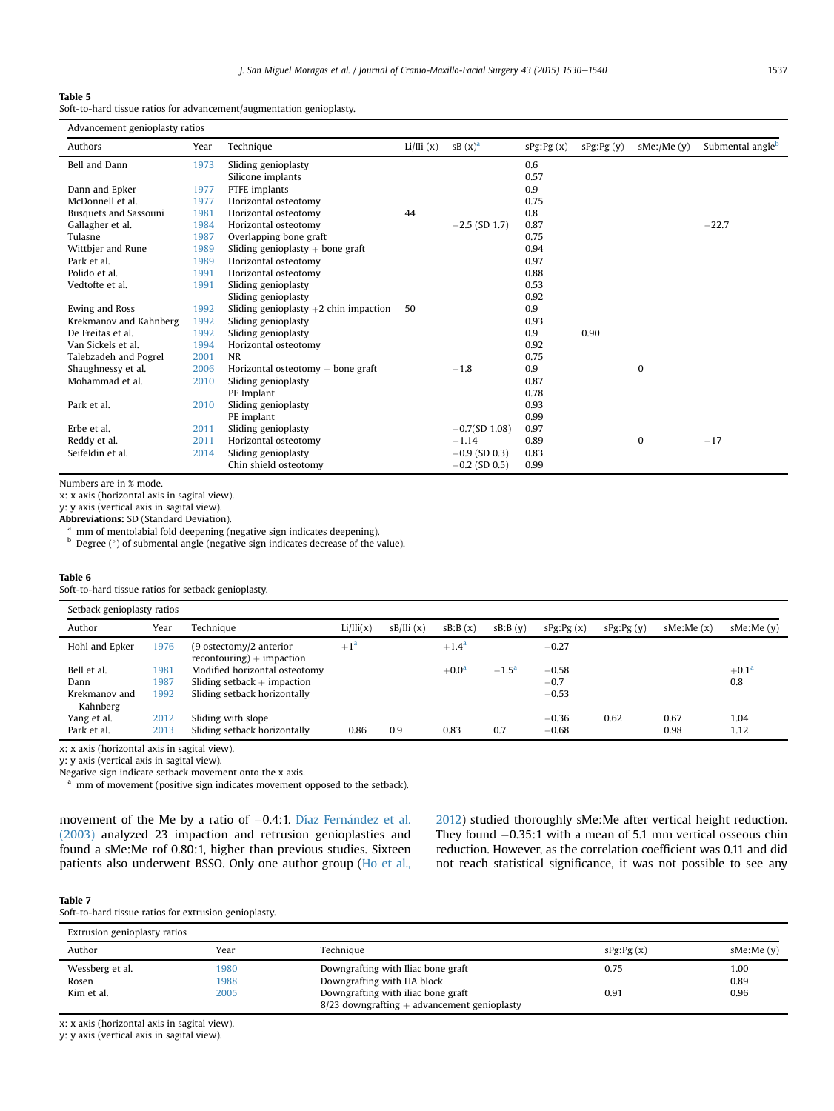### <span id="page-7-0"></span>Table 5

Soft-to-hard tissue ratios for advancement/augmentation genioplasty.

| Advancement genioplasty ratios |      |                                         |          |                 |           |           |                  |                              |
|--------------------------------|------|-----------------------------------------|----------|-----------------|-----------|-----------|------------------|------------------------------|
| Authors                        | Year | Technique                               | Li/Hi(x) | $SB(x)^a$       | sPg:Pg(x) | sPg:Pg(y) | $sMe$ :/Me $(y)$ | Submental angle <sup>b</sup> |
| Bell and Dann                  | 1973 | Sliding genioplasty                     |          |                 | 0.6       |           |                  |                              |
|                                |      | Silicone implants                       |          |                 | 0.57      |           |                  |                              |
| Dann and Epker                 | 1977 | PTFE implants                           |          |                 | 0.9       |           |                  |                              |
| McDonnell et al.               | 1977 | Horizontal osteotomy                    |          |                 | 0.75      |           |                  |                              |
| <b>Busquets and Sassouni</b>   | 1981 | Horizontal osteotomy                    | 44       |                 | 0.8       |           |                  |                              |
| Gallagher et al.               | 1984 | Horizontal osteotomy                    |          | $-2.5$ (SD 1.7) | 0.87      |           |                  | $-22.7$                      |
| Tulasne                        | 1987 | Overlapping bone graft                  |          |                 | 0.75      |           |                  |                              |
| Wittbjer and Rune              | 1989 | Sliding genioplasty $+$ bone graft      |          |                 | 0.94      |           |                  |                              |
| Park et al.                    | 1989 | Horizontal osteotomy                    |          |                 | 0.97      |           |                  |                              |
| Polido et al.                  | 1991 | Horizontal osteotomy                    |          |                 | 0.88      |           |                  |                              |
| Vedtofte et al.                | 1991 | Sliding genioplasty                     |          |                 | 0.53      |           |                  |                              |
|                                |      | Sliding genioplasty                     |          |                 | 0.92      |           |                  |                              |
| Ewing and Ross                 | 1992 | Sliding genioplasty $+2$ chin impaction | 50       |                 | 0.9       |           |                  |                              |
| Krekmanov and Kahnberg         | 1992 | Sliding genioplasty                     |          |                 | 0.93      |           |                  |                              |
| De Freitas et al.              | 1992 | Sliding genioplasty                     |          |                 | 0.9       | 0.90      |                  |                              |
| Van Sickels et al.             | 1994 | Horizontal osteotomy                    |          |                 | 0.92      |           |                  |                              |
| Talebzadeh and Pogrel          | 2001 | <b>NR</b>                               |          |                 | 0.75      |           |                  |                              |
| Shaughnessy et al.             | 2006 | Horizontal osteotomy $+$ bone graft     |          | $-1.8$          | 0.9       |           | $\mathbf{0}$     |                              |
| Mohammad et al.                | 2010 | Sliding genioplasty                     |          |                 | 0.87      |           |                  |                              |
|                                |      | PE Implant                              |          |                 | 0.78      |           |                  |                              |
| Park et al.                    | 2010 | Sliding genioplasty                     |          |                 | 0.93      |           |                  |                              |
|                                |      | PE implant                              |          |                 | 0.99      |           |                  |                              |
| Erbe et al.                    | 2011 | Sliding genioplasty                     |          | $-0.7(SD 1.08)$ | 0.97      |           |                  |                              |
| Reddy et al.                   | 2011 | Horizontal osteotomy                    |          | $-1.14$         | 0.89      |           | $\mathbf{0}$     | $-17$                        |
| Seifeldin et al.               | 2014 | Sliding genioplasty                     |          | $-0.9$ (SD 0.3) | 0.83      |           |                  |                              |
|                                |      | Chin shield osteotomy                   |          | $-0.2$ (SD 0.5) | 0.99      |           |                  |                              |

Numbers are in % mode.

Setback genioplasty ratios

x: x axis (horizontal axis in sagital view).

y: y axis (vertical axis in sagital view).

Abbreviations: SD (Standard Deviation).

<sup>a</sup> mm of mentolabial fold deepening (negative sign indicates deepening).

b Degree (°) of submental angle (negative sign indicates decrease of the value).

#### Table 6

Soft-to-hard tissue ratios for setback genioplasty.

| SELDACK GEHIOPIASLY TALIOS |      |                                                         |          |           |                |                |           |           |           |                |
|----------------------------|------|---------------------------------------------------------|----------|-----------|----------------|----------------|-----------|-----------|-----------|----------------|
| Author                     | Year | Technique                                               | Li/Hi(x) | sB/III(x) | sB:B(x)        | sB:B(v)        | sPg:Pg(x) | sPg:Pg(y) | sMe:Me(x) | sMe:Me(v)      |
| Hohl and Epker             | 1976 | $(9$ ostectomy/2 anterior<br>$recontouring$ + impaction | $+1a$    |           | $+1.4^{\rm a}$ |                | $-0.27$   |           |           |                |
| Bell et al.                | 1981 | Modified horizontal osteotomy                           |          |           | $+0.0a$        | $-1.5^{\circ}$ | $-0.58$   |           |           | $+0.1^{\rm a}$ |
| Dann                       | 1987 | Sliding setback $+$ impaction                           |          |           |                |                | $-0.7$    |           |           | 0.8            |
| Krekmanov and              | 1992 | Sliding setback horizontally                            |          |           |                |                | $-0.53$   |           |           |                |
| Kahnberg                   |      |                                                         |          |           |                |                |           |           |           |                |
| Yang et al.                | 2012 | Sliding with slope                                      |          |           |                |                | $-0.36$   | 0.62      | 0.67      | 1.04           |
| Park et al.                | 2013 | Sliding setback horizontally                            | 0.86     | 0.9       | 0.83           | 0.7            | $-0.68$   |           | 0.98      | 1.12           |
|                            |      |                                                         |          |           |                |                |           |           |           |                |

x: x axis (horizontal axis in sagital view).

y: y axis (vertical axis in sagital view).

Negative sign indicate setback movement onto the x axis.

mm of movement (positive sign indicates movement opposed to the setback).

movement of the Me by a ratio of  $-0.4$ :1. Díaz Fernández et al. [\(2003\)](#page-9-0) analyzed 23 impaction and retrusion genioplasties and found a sMe:Me rof 0.80:1, higher than previous studies. Sixteen patients also underwent BSSO. Only one author group ([Ho et al.,](#page-10-0) [2012\)](#page-10-0) studied thoroughly sMe:Me after vertical height reduction. They found  $-0.35:1$  with a mean of 5.1 mm vertical osseous chin reduction. However, as the correlation coefficient was 0.11 and did not reach statistical significance, it was not possible to see any

#### Table 7

Soft-to-hard tissue ratios for extrusion genioplasty.

| Extrusion genioplasty ratios |      |                                                                                       |                |            |
|------------------------------|------|---------------------------------------------------------------------------------------|----------------|------------|
| Author                       | Year | Technique                                                                             | $sPg:$ $Pg(x)$ | sMe:Me (y) |
| Wessberg et al.              | 1980 | Downgrafting with Iliac bone graft                                                    | 0.75           | 1.00       |
| Rosen                        | 1988 | Downgrafting with HA block                                                            |                | 0.89       |
| Kim et al.                   | 2005 | Downgrafting with iliac bone graft<br>$8/23$ downgrafting $+$ advancement genioplasty | 0.91           | 0.96       |

x: x axis (horizontal axis in sagital view).

y: y axis (vertical axis in sagital view).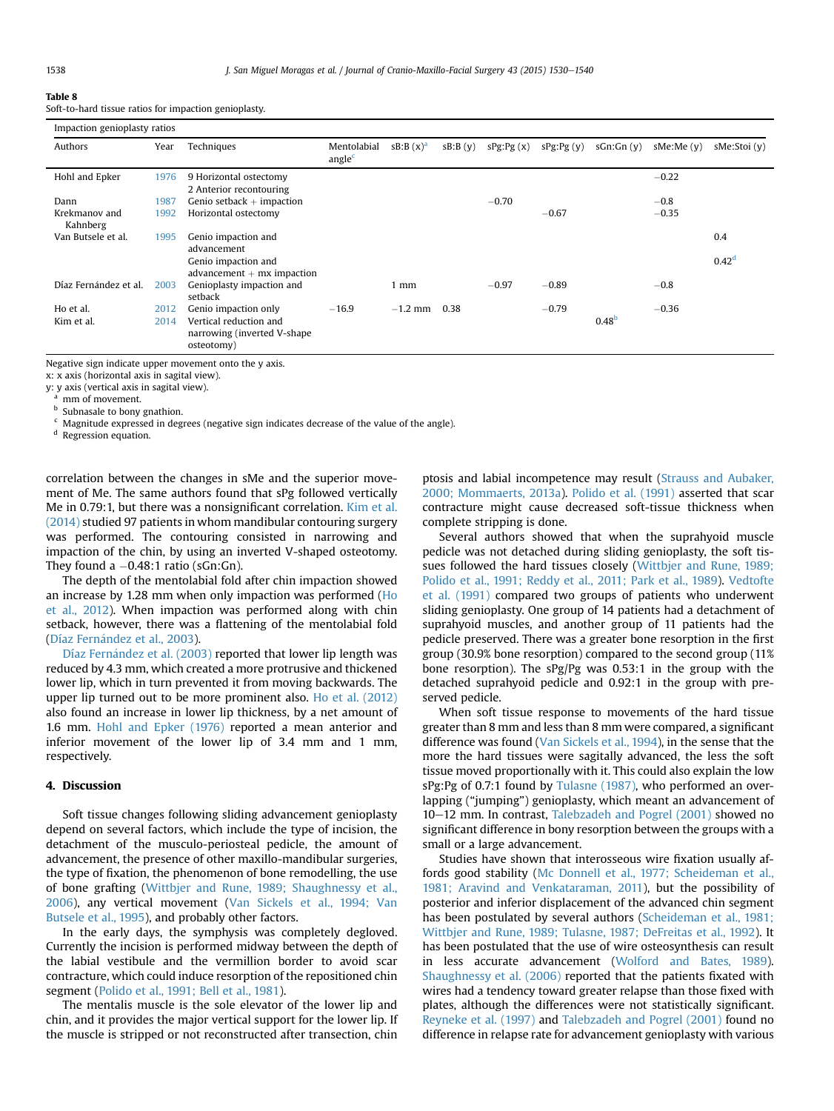#### Table 8

Soft-to-hard tissue ratios for impaction genioplasty.

| Impaction genioplasty ratios |      |                              |                                   |             |         |           |           |                   |           |                   |
|------------------------------|------|------------------------------|-----------------------------------|-------------|---------|-----------|-----------|-------------------|-----------|-------------------|
| Authors                      | Year | Techniques                   | Mentolabial<br>angle <sup>c</sup> | $sB:B(x)^a$ | sB:B(y) | sPg:Pg(x) | sPg:Pg(y) | sGn:Gn(y)         | sMe:Me(v) | sMe:Stoi (y)      |
| Hohl and Epker               | 1976 | 9 Horizontal ostectomy       |                                   |             |         |           |           |                   | $-0.22$   |                   |
|                              |      | 2 Anterior recontouring      |                                   |             |         |           |           |                   |           |                   |
| Dann                         | 1987 | Genio setback $+$ impaction  |                                   |             |         | $-0.70$   |           |                   | $-0.8$    |                   |
| Krekmanov and<br>Kahnberg    | 1992 | Horizontal ostectomy         |                                   |             |         |           | $-0.67$   |                   | $-0.35$   |                   |
| Van Butsele et al.           | 1995 | Genio impaction and          |                                   |             |         |           |           |                   |           | 0.4               |
|                              |      | advancement                  |                                   |             |         |           |           |                   |           |                   |
|                              |      | Genio impaction and          |                                   |             |         |           |           |                   |           | 0.42 <sup>d</sup> |
|                              |      | $advancement + mx impaction$ |                                   |             |         |           |           |                   |           |                   |
| Díaz Fernández et al.        | 2003 | Genioplasty impaction and    |                                   | 1 mm        |         | $-0.97$   | $-0.89$   |                   | $-0.8$    |                   |
|                              |      | setback                      |                                   |             |         |           |           |                   |           |                   |
| Ho et al.                    | 2012 | Genio impaction only         | $-16.9$                           | $-1.2$ mm   | 0.38    |           | $-0.79$   |                   | $-0.36$   |                   |
| Kim et al.                   | 2014 | Vertical reduction and       |                                   |             |         |           |           | 0.48 <sup>b</sup> |           |                   |
|                              |      | narrowing (inverted V-shape) |                                   |             |         |           |           |                   |           |                   |
|                              |      | osteotomy)                   |                                   |             |         |           |           |                   |           |                   |

Negative sign indicate upper movement onto the y axis.

x: x axis (horizontal axis in sagital view).

y: y axis (vertical axis in sagital view).

mm of movement.

**b** Subnasale to bony gnathion.

Magnitude expressed in degrees (negative sign indicates decrease of the value of the angle).

<sup>d</sup> Regression equation.

correlation between the changes in sMe and the superior movement of Me. The same authors found that sPg followed vertically Me in 0.79:1, but there was a nonsignificant correlation. [Kim et al.](#page-10-0) [\(2014\)](#page-10-0) studied 97 patients in whom mandibular contouring surgery was performed. The contouring consisted in narrowing and impaction of the chin, by using an inverted V-shaped osteotomy. They found a  $-0.48:1$  ratio (sGn:Gn).

The depth of the mentolabial fold after chin impaction showed an increase by 1.28 mm when only impaction was performed [\(Ho](#page-10-0) [et al., 2012\)](#page-10-0). When impaction was performed along with chin setback, however, there was a flattening of the mentolabial fold (Díaz Fernández et al., 2003).

[Díaz Fern](#page-9-0)á[ndez et al. \(2003\)](#page-9-0) reported that lower lip length was reduced by 4.3 mm, which created a more protrusive and thickened lower lip, which in turn prevented it from moving backwards. The upper lip turned out to be more prominent also. [Ho et al. \(2012\)](#page-10-0) also found an increase in lower lip thickness, by a net amount of 1.6 mm. [Hohl and Epker \(1976\)](#page-10-0) reported a mean anterior and inferior movement of the lower lip of 3.4 mm and 1 mm, respectively.

# 4. Discussion

Soft tissue changes following sliding advancement genioplasty depend on several factors, which include the type of incision, the detachment of the musculo-periosteal pedicle, the amount of advancement, the presence of other maxillo-mandibular surgeries, the type of fixation, the phenomenon of bone remodelling, the use of bone grafting [\(Wittbjer and Rune, 1989; Shaughnessy et al.,](#page-10-0) [2006](#page-10-0)), any vertical movement ([Van Sickels et al., 1994; Van](#page-10-0) [Butsele et al., 1995](#page-10-0)), and probably other factors.

In the early days, the symphysis was completely degloved. Currently the incision is performed midway between the depth of the labial vestibule and the vermillion border to avoid scar contracture, which could induce resorption of the repositioned chin segment ([Polido et al., 1991; Bell et al., 1981\)](#page-10-0).

The mentalis muscle is the sole elevator of the lower lip and chin, and it provides the major vertical support for the lower lip. If the muscle is stripped or not reconstructed after transection, chin ptosis and labial incompetence may result [\(Strauss and Aubaker,](#page-10-0) [2000; Mommaerts, 2013a\)](#page-10-0). [Polido et al. \(1991\)](#page-10-0) asserted that scar contracture might cause decreased soft-tissue thickness when complete stripping is done.

Several authors showed that when the suprahyoid muscle pedicle was not detached during sliding genioplasty, the soft tissues followed the hard tissues closely [\(Wittbjer and Rune, 1989;](#page-10-0) [Polido et al., 1991; Reddy et al., 2011; Park et al., 1989\)](#page-10-0). [Vedtofte](#page-10-0) [et al. \(1991\)](#page-10-0) compared two groups of patients who underwent sliding genioplasty. One group of 14 patients had a detachment of suprahyoid muscles, and another group of 11 patients had the pedicle preserved. There was a greater bone resorption in the first group (30.9% bone resorption) compared to the second group (11% bone resorption). The sPg/Pg was 0.53:1 in the group with the detached suprahyoid pedicle and 0.92:1 in the group with preserved pedicle.

When soft tissue response to movements of the hard tissue greater than 8 mm and less than 8 mm were compared, a significant difference was found ([Van Sickels et al., 1994](#page-10-0)), in the sense that the more the hard tissues were sagitally advanced, the less the soft tissue moved proportionally with it. This could also explain the low sPg:Pg of 0.7:1 found by [Tulasne \(1987\),](#page-10-0) who performed an overlapping ("jumping") genioplasty, which meant an advancement of 10-12 mm. In contrast, [Talebzadeh and Pogrel \(2001\)](#page-10-0) showed no significant difference in bony resorption between the groups with a small or a large advancement.

Studies have shown that interosseous wire fixation usually affords good stability ([Mc Donnell et al., 1977; Scheideman et al.,](#page-10-0) [1981; Aravind and Venkataraman, 2011](#page-10-0)), but the possibility of posterior and inferior displacement of the advanced chin segment has been postulated by several authors [\(Scheideman et al., 1981;](#page-10-0) [Wittbjer and Rune, 1989; Tulasne, 1987; DeFreitas et al., 1992](#page-10-0)). It has been postulated that the use of wire osteosynthesis can result in less accurate advancement ([Wolford and Bates, 1989\)](#page-10-0). [Shaughnessy et al. \(2006\)](#page-10-0) reported that the patients fixated with wires had a tendency toward greater relapse than those fixed with plates, although the differences were not statistically significant. [Reyneke et al. \(1997\)](#page-10-0) and [Talebzadeh and Pogrel \(2001\)](#page-10-0) found no difference in relapse rate for advancement genioplasty with various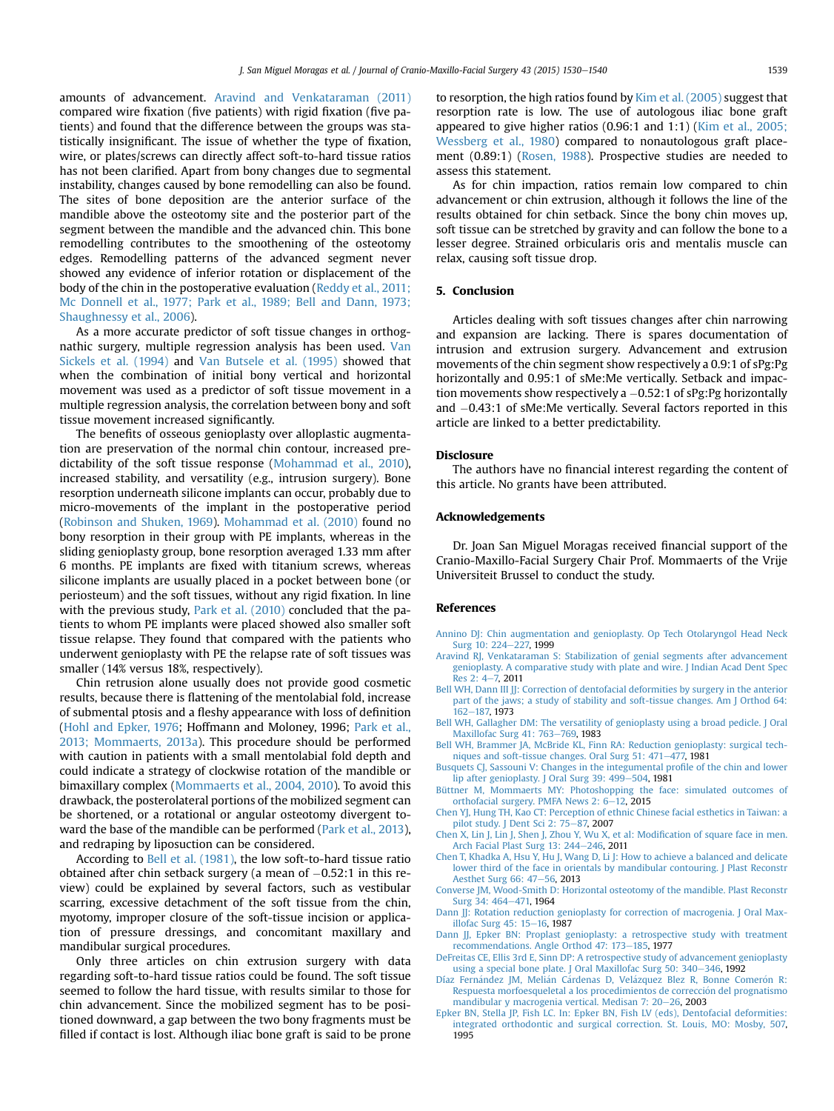<span id="page-9-0"></span>amounts of advancement. Aravind and Venkataraman (2011) compared wire fixation (five patients) with rigid fixation (five patients) and found that the difference between the groups was statistically insignificant. The issue of whether the type of fixation, wire, or plates/screws can directly affect soft-to-hard tissue ratios has not been clarified. Apart from bony changes due to segmental instability, changes caused by bone remodelling can also be found. The sites of bone deposition are the anterior surface of the mandible above the osteotomy site and the posterior part of the segment between the mandible and the advanced chin. This bone remodelling contributes to the smoothening of the osteotomy edges. Remodelling patterns of the advanced segment never showed any evidence of inferior rotation or displacement of the body of the chin in the postoperative evaluation [\(Reddy et al., 2011;](#page-10-0) [Mc Donnell et al., 1977; Park et al., 1989; Bell and Dann, 1973;](#page-10-0) [Shaughnessy et al., 2006\)](#page-10-0).

As a more accurate predictor of soft tissue changes in orthognathic surgery, multiple regression analysis has been used. [Van](#page-10-0) [Sickels et al. \(1994\)](#page-10-0) and [Van Butsele et al. \(1995\)](#page-10-0) showed that when the combination of initial bony vertical and horizontal movement was used as a predictor of soft tissue movement in a multiple regression analysis, the correlation between bony and soft tissue movement increased significantly.

The benefits of osseous genioplasty over alloplastic augmentation are preservation of the normal chin contour, increased predictability of the soft tissue response [\(Mohammad et al., 2010\)](#page-10-0), increased stability, and versatility (e.g., intrusion surgery). Bone resorption underneath silicone implants can occur, probably due to micro-movements of the implant in the postoperative period ([Robinson and Shuken, 1969\)](#page-10-0). [Mohammad et al. \(2010\)](#page-10-0) found no bony resorption in their group with PE implants, whereas in the sliding genioplasty group, bone resorption averaged 1.33 mm after 6 months. PE implants are fixed with titanium screws, whereas silicone implants are usually placed in a pocket between bone (or periosteum) and the soft tissues, without any rigid fixation. In line with the previous study, [Park et al. \(2010\)](#page-10-0) concluded that the patients to whom PE implants were placed showed also smaller soft tissue relapse. They found that compared with the patients who underwent genioplasty with PE the relapse rate of soft tissues was smaller (14% versus 18%, respectively).

Chin retrusion alone usually does not provide good cosmetic results, because there is flattening of the mentolabial fold, increase of submental ptosis and a fleshy appearance with loss of definition ([Hohl and Epker, 1976;](#page-10-0) Hoffmann and Moloney, 1996; [Park et al.,](#page-10-0) [2013; Mommaerts, 2013a](#page-10-0)). This procedure should be performed with caution in patients with a small mentolabial fold depth and could indicate a strategy of clockwise rotation of the mandible or bimaxillary complex [\(Mommaerts et al., 2004, 2010](#page-10-0)). To avoid this drawback, the posterolateral portions of the mobilized segment can be shortened, or a rotational or angular osteotomy divergent toward the base of the mandible can be performed ([Park et al., 2013\)](#page-10-0), and redraping by liposuction can be considered.

According to Bell et al. (1981), the low soft-to-hard tissue ratio obtained after chin setback surgery (a mean of  $-0.52:1$  in this review) could be explained by several factors, such as vestibular scarring, excessive detachment of the soft tissue from the chin, myotomy, improper closure of the soft-tissue incision or application of pressure dressings, and concomitant maxillary and mandibular surgical procedures.

Only three articles on chin extrusion surgery with data regarding soft-to-hard tissue ratios could be found. The soft tissue seemed to follow the hard tissue, with results similar to those for chin advancement. Since the mobilized segment has to be positioned downward, a gap between the two bony fragments must be filled if contact is lost. Although iliac bone graft is said to be prone to resorption, the high ratios found by [Kim et al. \(2005\)](#page-10-0) suggest that resorption rate is low. The use of autologous iliac bone graft appeared to give higher ratios (0.96:1 and 1:1) ([Kim et al., 2005;](#page-10-0) [Wessberg et al., 1980](#page-10-0)) compared to nonautologous graft placement (0.89:1) ([Rosen, 1988](#page-10-0)). Prospective studies are needed to assess this statement.

As for chin impaction, ratios remain low compared to chin advancement or chin extrusion, although it follows the line of the results obtained for chin setback. Since the bony chin moves up, soft tissue can be stretched by gravity and can follow the bone to a lesser degree. Strained orbicularis oris and mentalis muscle can relax, causing soft tissue drop.

#### 5. Conclusion

Articles dealing with soft tissues changes after chin narrowing and expansion are lacking. There is spares documentation of intrusion and extrusion surgery. Advancement and extrusion movements of the chin segment show respectively a 0.9:1 of sPg:Pg horizontally and 0.95:1 of sMe:Me vertically. Setback and impaction movements show respectively a  $-0.52$ :1 of sPg:Pg horizontally and  $-0.43:1$  of sMe:Me vertically. Several factors reported in this article are linked to a better predictability.

#### **Disclosure**

The authors have no financial interest regarding the content of this article. No grants have been attributed.

#### Acknowledgements

Dr. Joan San Miguel Moragas received financial support of the Cranio-Maxillo-Facial Surgery Chair Prof. Mommaerts of the Vrije Universiteit Brussel to conduct the study.

#### References

- [Annino DJ: Chin augmentation and genioplasty. Op Tech Otolaryngol Head Neck](http://refhub.elsevier.com/S1010-5182(15)00258-9/sref1) [Surg 10: 224](http://refhub.elsevier.com/S1010-5182(15)00258-9/sref1)-[227,](http://refhub.elsevier.com/S1010-5182(15)00258-9/sref1) 1999
- [Aravind RJ, Venkataraman S: Stabilization of genial segments after advancement](http://refhub.elsevier.com/S1010-5182(15)00258-9/sref2) [genioplasty. A comparative study with plate and wire. J Indian Acad Dent Spec](http://refhub.elsevier.com/S1010-5182(15)00258-9/sref2) [Res 2: 4](http://refhub.elsevier.com/S1010-5182(15)00258-9/sref2)-[7,](http://refhub.elsevier.com/S1010-5182(15)00258-9/sref2) 2011
- [Bell WH, Dann III JJ: Correction of dentofacial deformities by surgery in the anterior](http://refhub.elsevier.com/S1010-5182(15)00258-9/sref3) [part of the jaws; a study of stability and soft-tissue changes. Am J Orthod 64:](http://refhub.elsevier.com/S1010-5182(15)00258-9/sref3) [162](http://refhub.elsevier.com/S1010-5182(15)00258-9/sref3)-[187,](http://refhub.elsevier.com/S1010-5182(15)00258-9/sref3) 1973
- [Bell WH, Gallagher DM: The versatility of genioplasty using a broad pedicle. J Oral](http://refhub.elsevier.com/S1010-5182(15)00258-9/sref4) [Maxillofac Surg 41: 763](http://refhub.elsevier.com/S1010-5182(15)00258-9/sref4)-[769,](http://refhub.elsevier.com/S1010-5182(15)00258-9/sref4) 1983

[Bell WH, Brammer JA, McBride KL, Finn RA: Reduction genioplasty: surgical tech](http://refhub.elsevier.com/S1010-5182(15)00258-9/sref5)[niques and soft-tissue changes. Oral Surg 51: 471](http://refhub.elsevier.com/S1010-5182(15)00258-9/sref5)-[477,](http://refhub.elsevier.com/S1010-5182(15)00258-9/sref5) 1981

- [Busquets CJ, Sassouni V: Changes in the integumental pro](http://refhub.elsevier.com/S1010-5182(15)00258-9/sref6)file of the chin and lower [lip after genioplasty. J Oral Surg 39: 499](http://refhub.elsevier.com/S1010-5182(15)00258-9/sref6)–[504,](http://refhub.elsevier.com/S1010-5182(15)00258-9/sref6) 1981<br>[Büttner M, Mommaerts MY: Photoshopping the face: simulated outcomes of](http://refhub.elsevier.com/S1010-5182(15)00258-9/sref7)
- [orthofacial surgery. PMFA News 2: 6](http://refhub.elsevier.com/S1010-5182(15)00258-9/sref7)–[12,](http://refhub.elsevier.com/S1010-5182(15)00258-9/sref7) 2015<br>[Chen YJ, Hung TH, Kao CT: Perception of ethnic Chinese facial esthetics in Taiwan: a](http://refhub.elsevier.com/S1010-5182(15)00258-9/sref8)
- [pilot study. J Dent Sci 2: 75](http://refhub.elsevier.com/S1010-5182(15)00258-9/sref8)-[87,](http://refhub.elsevier.com/S1010-5182(15)00258-9/sref8) 2007
- [Chen X, Lin J, Lin J, Shen J, Zhou Y, Wu X, et al: Modi](http://refhub.elsevier.com/S1010-5182(15)00258-9/sref9)fication of square face in men. [Arch Facial Plast Surg 13: 244](http://refhub.elsevier.com/S1010-5182(15)00258-9/sref9)-[246,](http://refhub.elsevier.com/S1010-5182(15)00258-9/sref9) 2011
- [Chen T, Khadka A, Hsu Y, Hu J, Wang D, Li J: How to achieve a balanced and delicate](http://refhub.elsevier.com/S1010-5182(15)00258-9/sref10) [lower third of the face in orientals by mandibular contouring. J Plast Reconstr](http://refhub.elsevier.com/S1010-5182(15)00258-9/sref10) [Aesthet Surg 66: 47](http://refhub.elsevier.com/S1010-5182(15)00258-9/sref10)-[56,](http://refhub.elsevier.com/S1010-5182(15)00258-9/sref10) 2013
- [Converse JM, Wood-Smith D: Horizontal osteotomy of the mandible. Plast Reconstr](http://refhub.elsevier.com/S1010-5182(15)00258-9/sref11) [Surg 34: 464](http://refhub.elsevier.com/S1010-5182(15)00258-9/sref11)-[471,](http://refhub.elsevier.com/S1010-5182(15)00258-9/sref11) 1964
- Dann *JJ:* Rotation reduction genioplasty for correction of macrogenia. J Oral Max[illofac Surg 45: 15](http://refhub.elsevier.com/S1010-5182(15)00258-9/sref12)-[16,](http://refhub.elsevier.com/S1010-5182(15)00258-9/sref12) 1987
- [Dann JJ, Epker BN: Proplast genioplasty: a retrospective study with treatment](http://refhub.elsevier.com/S1010-5182(15)00258-9/sref13) [recommendations. Angle Orthod 47: 173](http://refhub.elsevier.com/S1010-5182(15)00258-9/sref13)-[185,](http://refhub.elsevier.com/S1010-5182(15)00258-9/sref13) 1977
- [DeFreitas CE, Ellis 3rd E, Sinn DP: A retrospective study of advancement genioplasty](http://refhub.elsevier.com/S1010-5182(15)00258-9/sref14) [using a special bone plate. J Oral Maxillofac Surg 50: 340](http://refhub.elsevier.com/S1010-5182(15)00258-9/sref14)-[346,](http://refhub.elsevier.com/S1010-5182(15)00258-9/sref14) 1992
- Díaz Fernández JM, Meliá[n C](http://refhub.elsevier.com/S1010-5182(15)00258-9/sref15)á[rdenas D, Vel](http://refhub.elsevier.com/S1010-5182(15)00258-9/sref15)ázquez Blez R, Bonne Comerón R: [Respuesta morfoesqueletal a los procedimientos de correccion del prognatismo](http://refhub.elsevier.com/S1010-5182(15)00258-9/sref15) [mandibular y macrogenia vertical. Medisan 7: 20](http://refhub.elsevier.com/S1010-5182(15)00258-9/sref15)-[26,](http://refhub.elsevier.com/S1010-5182(15)00258-9/sref15) 2003
- [Epker BN, Stella JP, Fish LC. In: Epker BN, Fish LV \(eds\), Dentofacial deformities:](http://refhub.elsevier.com/S1010-5182(15)00258-9/sref17) [integrated orthodontic and surgical correction. St. Louis, MO: Mosby, 507,](http://refhub.elsevier.com/S1010-5182(15)00258-9/sref17) 1995